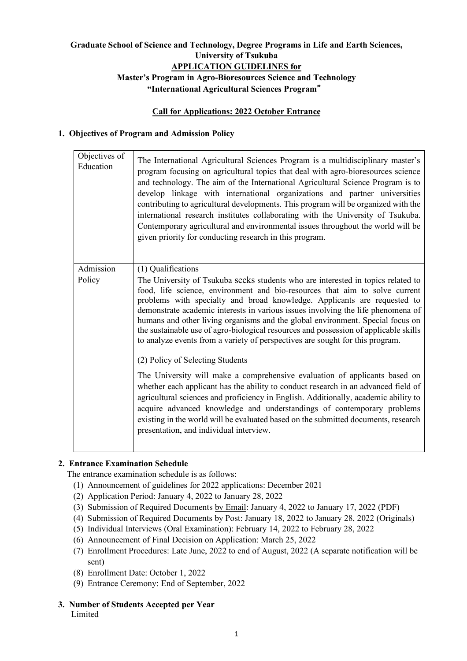# **Graduate School of Science and Technology, Degree Programs in Life and Earth Sciences, University of Tsukuba APPLICATION GUIDELINES for Master's Program in Agro-Bioresources Science and Technology**

**"International Agricultural Sciences Program**"

### **Call for Applications: 2022 October Entrance**

# **1. Objectives of Program and Admission Policy**

| Objectives of<br>Education | The International Agricultural Sciences Program is a multidisciplinary master's<br>program focusing on agricultural topics that deal with agro-bioresources science<br>and technology. The aim of the International Agricultural Science Program is to<br>develop linkage with international organizations and partner universities<br>contributing to agricultural developments. This program will be organized with the<br>international research institutes collaborating with the University of Tsukuba.<br>Contemporary agricultural and environmental issues throughout the world will be<br>given priority for conducting research in this program. |
|----------------------------|------------------------------------------------------------------------------------------------------------------------------------------------------------------------------------------------------------------------------------------------------------------------------------------------------------------------------------------------------------------------------------------------------------------------------------------------------------------------------------------------------------------------------------------------------------------------------------------------------------------------------------------------------------|
| Admission<br>Policy        | (1) Qualifications<br>The University of Tsukuba seeks students who are interested in topics related to                                                                                                                                                                                                                                                                                                                                                                                                                                                                                                                                                     |
|                            | food, life science, environment and bio-resources that aim to solve current<br>problems with specialty and broad knowledge. Applicants are requested to<br>demonstrate academic interests in various issues involving the life phenomena of<br>humans and other living organisms and the global environment. Special focus on<br>the sustainable use of agro-biological resources and possession of applicable skills<br>to analyze events from a variety of perspectives are sought for this program.                                                                                                                                                     |
|                            | (2) Policy of Selecting Students                                                                                                                                                                                                                                                                                                                                                                                                                                                                                                                                                                                                                           |
|                            | The University will make a comprehensive evaluation of applicants based on<br>whether each applicant has the ability to conduct research in an advanced field of<br>agricultural sciences and proficiency in English. Additionally, academic ability to<br>acquire advanced knowledge and understandings of contemporary problems<br>existing in the world will be evaluated based on the submitted documents, research<br>presentation, and individual interview.                                                                                                                                                                                         |

### **2. Entrance Examination Schedule**

The entrance examination schedule is as follows:

- (1) Announcement of guidelines for 2022 applications: December 2021
- (2) Application Period: January 4, 2022 to January 28, 2022
- (3) Submission of Required Documents by Email: January 4, 2022 to January 17, 2022 (PDF)
- (4) Submission of Required Documents by Post: January 18, 2022 to January 28, 2022 (Originals)
- (5) Individual Interviews (Oral Examination): February 14, 2022 to February 28, 2022
- (6) Announcement of Final Decision on Application: March 25, 2022
- (7) Enrollment Procedures: Late June, 2022 to end of August, 2022 (A separate notification will be sent)
- (8) Enrollment Date: October 1, 2022
- (9) Entrance Ceremony: End of September, 2022
- **3. Number of Students Accepted per Year**

Limited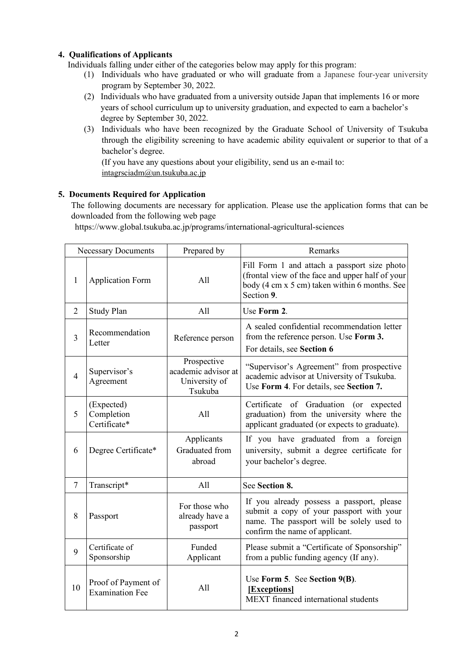# **4. Qualifications of Applicants**

Individuals falling under either of the categories below may apply for this program:

- (1) Individuals who have graduated or who will graduate from a Japanese four-year university program by September 30, 2022.
- (2) Individuals who have graduated from a university outside Japan that implements 16 or more years of school curriculum up to university graduation, and expected to earn a bachelor's degree by September 30, 2022.
- (3) Individuals who have been recognized by the Graduate School of University of Tsukuba through the eligibility screening to have academic ability equivalent or superior to that of a bachelor's degree.

(If you have any questions about your eligibility, send us an e-mail to: intagrsciadm@un.tsukuba.ac.jp

### **5. Documents Required for Application**

The following documents are necessary for application. Please use the application forms that can be downloaded from the following web page

https://www.global.tsukuba.ac.jp/programs/international-agricultural-sciences

| <b>Necessary Documents</b> |                                               | Prepared by                                                    | Remarks                                                                                                                                                              |
|----------------------------|-----------------------------------------------|----------------------------------------------------------------|----------------------------------------------------------------------------------------------------------------------------------------------------------------------|
| 1                          | <b>Application Form</b>                       | All                                                            | Fill Form 1 and attach a passport size photo<br>(frontal view of the face and upper half of your<br>body (4 cm x 5 cm) taken within 6 months. See<br>Section 9.      |
| $\overline{2}$             | Study Plan                                    | All                                                            | Use Form 2.                                                                                                                                                          |
| $\overline{3}$             | Recommendation<br>Letter                      | Reference person                                               | A sealed confidential recommendation letter<br>from the reference person. Use Form 3.<br>For details, see Section 6                                                  |
| $\overline{4}$             | Supervisor's<br>Agreement                     | Prospective<br>academic advisor at<br>University of<br>Tsukuba | "Supervisor's Agreement" from prospective<br>academic advisor at University of Tsukuba.<br>Use Form 4. For details, see Section 7.                                   |
| 5                          | (Expected)<br>Completion<br>Certificate*      | All                                                            | Certificate of Graduation (or expected<br>graduation) from the university where the<br>applicant graduated (or expects to graduate).                                 |
| 6                          | Degree Certificate*                           | Applicants<br>Graduated from<br>abroad                         | If you have graduated from a foreign<br>university, submit a degree certificate for<br>your bachelor's degree.                                                       |
| 7                          | Transcript*                                   | All                                                            | See Section 8.                                                                                                                                                       |
| 8                          | Passport                                      | For those who<br>already have a<br>passport                    | If you already possess a passport, please<br>submit a copy of your passport with your<br>name. The passport will be solely used to<br>confirm the name of applicant. |
| 9                          | Certificate of<br>Sponsorship                 | Funded<br>Applicant                                            | Please submit a "Certificate of Sponsorship"<br>from a public funding agency (If any).                                                                               |
| 10                         | Proof of Payment of<br><b>Examination Fee</b> | All                                                            | Use Form 5. See Section 9(B).<br>[Exceptions]<br>MEXT financed international students                                                                                |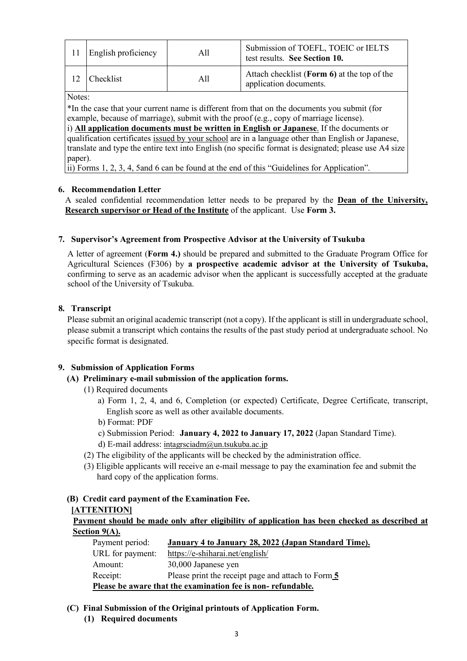| <b>English proficiency</b> | All | Submission of TOEFL, TOEIC or IELTS<br>test results. See Section 10.  |
|----------------------------|-----|-----------------------------------------------------------------------|
| <b>Checklist</b>           | All | Attach checklist (Form 6) at the top of the<br>application documents. |

Notes:

\*In the case that your current name is different from that on the documents you submit (for example, because of marriage), submit with the proof (e.g., copy of marriage license).

i) **All application documents must be written in English or Japanese**. If the documents or qualification certificates issued by your school are in a language other than English or Japanese, translate and type the entire text into English (no specific format is designated; please use A4 size paper).

ii) Forms 1, 2, 3, 4, 5and 6 can be found at the end of this "Guidelines for Application".

### **6. Recommendation Letter**

A sealed confidential recommendation letter needs to be prepared by the **Dean of the University, Research supervisor or Head of the Institute** of the applicant. Use **Form 3.**

### **7. Supervisor's Agreement from Prospective Advisor at the University of Tsukuba**

A letter of agreement (**Form 4.)** should be prepared and submitted to the Graduate Program Office for Agricultural Sciences (F306) by **a prospective academic advisor at the University of Tsukuba,** confirming to serve as an academic advisor when the applicant is successfully accepted at the graduate school of the University of Tsukuba.

### **8. Transcript**

Please submit an original academic transcript (not a copy). If the applicant is still in undergraduate school, please submit a transcript which contains the results of the past study period at undergraduate school. No specific format is designated.

### **9. Submission of Application Forms**

### **(A) Preliminary e-mail submission of the application forms.**

- (1) Required documents
	- a) Form 1, 2, 4, and 6, Completion (or expected) Certificate, Degree Certificate, transcript, English score as well as other available documents.
	- b) Format: PDF
	- c) Submission Period: **January 4, 2022 to January 17, 2022** (Japan Standard Time).
	- d) E-mail address: intagrsciadm@un.tsukuba.ac.jp
- (2) The eligibility of the applicants will be checked by the administration office.
- (3) Eligible applicants will receive an e-mail message to pay the examination fee and submit the hard copy of the application forms.

# **(B) Credit card payment of the Examination Fee.**

#### **[ATTENITION]**

**Payment should be made only after eligibility of application has been checked as described at Section 9(A).**

| Payment period:                                             | January 4 to January 28, 2022 (Japan Standard Time). |  |  |  |
|-------------------------------------------------------------|------------------------------------------------------|--|--|--|
| URL for payment:                                            | https://e-shiharai.net/english/                      |  |  |  |
| Amount:                                                     | 30,000 Japanese yen                                  |  |  |  |
| Receipt:                                                    | Please print the receipt page and attach to Form 5   |  |  |  |
| Please be aware that the examination fee is non-refundable. |                                                      |  |  |  |

- **(C) Final Submission of the Original printouts of Application Form.**
	- **(1) Required documents**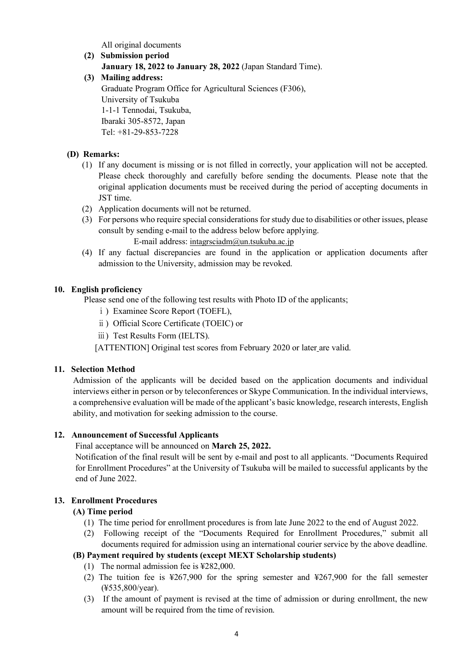All original documents

**(2) Submission period January 18, 2022 to January 28, 2022** (Japan Standard Time). **(3) Mailing address:** Graduate Program Office for Agricultural Sciences (F306), University of Tsukuba 1-1-1 Tennodai, Tsukuba, Ibaraki 305-8572, Japan

Tel: +81-29-853-7228

### **(D) Remarks:**

- (1) If any document is missing or is not filled in correctly, your application will not be accepted. Please check thoroughly and carefully before sending the documents. Please note that the original application documents must be received during the period of accepting documents in JST time.
- (2) Application documents will not be returned.
- (3) For persons who require special considerations for study due to disabilities or other issues, please consult by sending e-mail to the address below before applying. E-mail address: intagrsciadm@un.tsukuba.ac.jp
- (4) If any factual discrepancies are found in the application or application documents after admission to the University, admission may be revoked.

### **10. English proficiency**

Please send one of the following test results with Photo ID of the applicants;

- ⅰ) Examinee Score Report (TOEFL),
- ⅱ) Official Score Certificate (TOEIC) or
- ⅲ) Test Results Form (IELTS).

[ATTENTION] Original test scores from February 2020 or later are valid.

### **11. Selection Method**

Admission of the applicants will be decided based on the application documents and individual interviews either in person or by teleconferences or Skype Communication. In the individual interviews, a comprehensive evaluation will be made of the applicant's basic knowledge, research interests, English ability, and motivation for seeking admission to the course.

### **12. Announcement of Successful Applicants**

Final acceptance will be announced on **March 25, 2022.**

Notification of the final result will be sent by e-mail and post to all applicants. "Documents Required for Enrollment Procedures" at the University of Tsukuba will be mailed to successful applicants by the end of June 2022.

### **13. Enrollment Procedures**

### **(A) Time period**

- (1) The time period for enrollment procedures is from late June 2022 to the end of August 2022.
- (2) Following receipt of the "Documents Required for Enrollment Procedures," submit all documents required for admission using an international courier service by the above deadline.

# **(B) Payment required by students (except MEXT Scholarship students)**

- (1) The normal admission fee is ¥282,000.
- (2) The tuition fee is ¥267,900 for the spring semester and ¥267,900 for the fall semester (¥535,800/year).
- (3) If the amount of payment is revised at the time of admission or during enrollment, the new amount will be required from the time of revision.